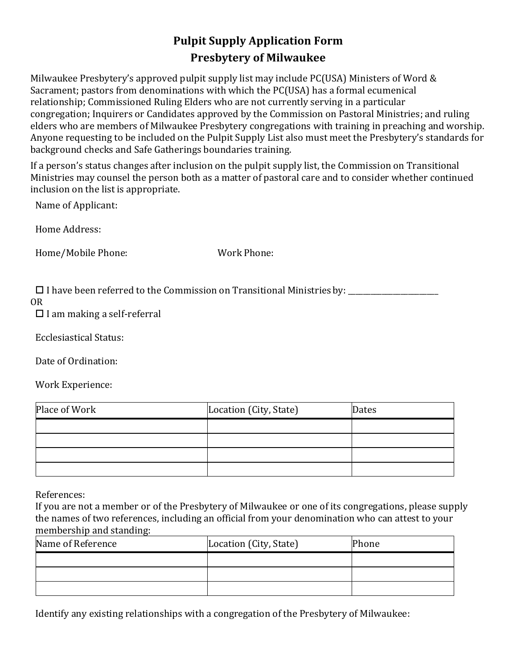## **Pulpit Supply Application Form Presbytery of Milwaukee**

Milwaukee Presbytery's approved pulpit supply list may include PC(USA) Ministers of Word & Sacrament; pastors from denominations with which the PC(USA) has a formal ecumenical relationship; Commissioned Ruling Elders who are not currently serving in a particular congregation; Inquirers or Candidates approved by the Commission on Pastoral Ministries; and ruling elders who are members of Milwaukee Presbytery congregations with training in preaching and worship. Anyone requesting to be included on the Pulpit Supply List also must meet the Presbytery's standards for background checks and Safe Gatherings boundaries training.

If a person's status changes after inclusion on the pulpit supply list, the Commission on Transitional Ministries may counsel the person both as a matter of pastoral care and to consider whether continued inclusion on the list is appropriate.

Name of Applicant:

Home Address:

Home/Mobile Phone: Work Phone:

I have been referred to the Commission on Transitional Ministriesby: \_\_\_\_\_\_\_\_\_\_\_\_\_\_\_\_\_\_\_\_\_\_\_\_

OR

 $\Box$  I am making a self-referral

Ecclesiastical Status:

Date of Ordination:

Work Experience:

| Place of Work | Location (City, State) | Dates |
|---------------|------------------------|-------|
|               |                        |       |
|               |                        |       |
|               |                        |       |
|               |                        |       |

References:

If you are not a member or of the Presbytery of Milwaukee or one of its congregations, please supply the names of two references, including an official from your denomination who can attest to your membership and standing:

| Name of Reference | Location (City, State) | Phone |
|-------------------|------------------------|-------|
|                   |                        |       |
|                   |                        |       |
|                   |                        |       |

Identify any existing relationships with a congregation of the Presbytery of Milwaukee: